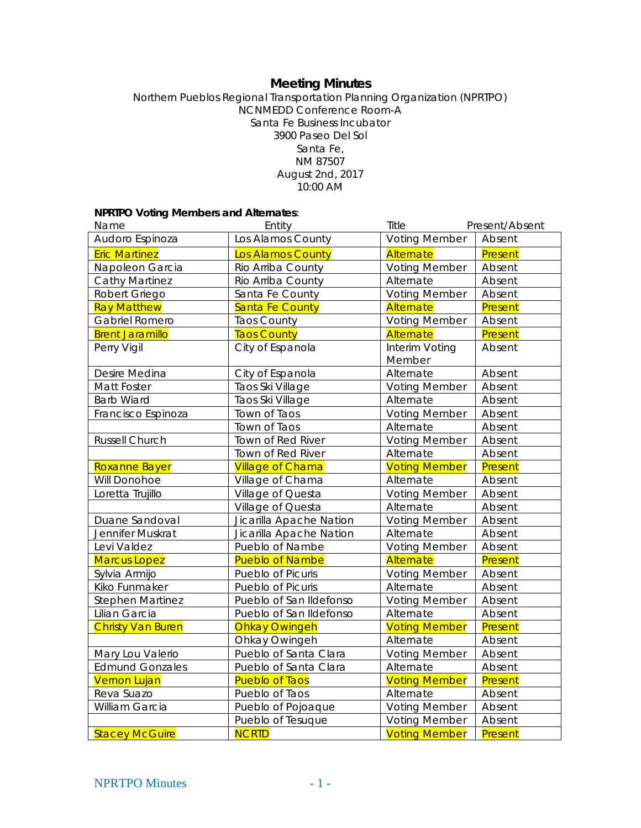# **Meeting Minutes**

Northern Pueblos Regional Transportation Planning Organization (NPRTPO) NCNMEDD Conference Room-A Santa Fe Business Incubator 3900 Paseo Del Sol Santa Fe, NM 87507 August 2nd, 2017 10:00 AM

# **NPRTPO Voting Members and Alternates**:

| Name                     | Entity                   | Title                    | Present/Absent |
|--------------------------|--------------------------|--------------------------|----------------|
| Audoro Espinoza          | Los Alamos County        | <b>Voting Member</b>     | Absent         |
| <b>Eric Martinez</b>     | <b>Los Alamos County</b> | Alternate                | Present        |
| Napoleon Garcia          | Rio Arriba County        | <b>Voting Member</b>     | Absent         |
| <b>Cathy Martinez</b>    | Rio Arriba County        | Alternate                | Absent         |
| Robert Griego            | Santa Fe County          | <b>Voting Member</b>     | Absent         |
| <b>Ray Matthew</b>       | Santa Fe County          | Alternate                | Present        |
| Gabriel Romero           | <b>Taos County</b>       | <b>Voting Member</b>     | Absent         |
| <b>Brent Jaramillo</b>   | <b>Taos County</b>       | Alternate                | Present        |
| Perry Vigil              | City of Espanola         | Interim Voting<br>Member | Absent         |
| Desire Medina            | City of Espanola         | Alternate                | Absent         |
| Matt Foster              | Taos Ski Village         | <b>Voting Member</b>     | Absent         |
| <b>Barb Wiard</b>        | Taos Ski Village         | Alternate                | Absent         |
| Francisco Espinoza       | Town of Taos             | <b>Voting Member</b>     | Absent         |
|                          | Town of Taos             | Alternate                | Absent         |
| Russell Church           | Town of Red River        | <b>Voting Member</b>     | Absent         |
|                          | Town of Red River        | Alternate                | Absent         |
| Roxanne Bayer            | <b>Village of Chama</b>  | <b>Voting Member</b>     | Present        |
| Will Donohoe             | Village of Chama         | Alternate                | Absent         |
| Loretta Trujillo         | Village of Questa        | <b>Voting Member</b>     | Absent         |
|                          | Village of Questa        | Alternate                | Absent         |
| Duane Sandoval           | Jicarilla Apache Nation  | <b>Voting Member</b>     | Absent         |
| Jennifer Muskrat         | Jicarilla Apache Nation  | Alternate                | Absent         |
| Levi Valdez              | Pueblo of Nambe          | <b>Voting Member</b>     | Absent         |
| <b>Marcus Lopez</b>      | <b>Pueblo of Nambe</b>   | Alternate                | Present        |
| Sylvia Armijo            | Pueblo of Picuris        | <b>Voting Member</b>     | Absent         |
| Kiko Funmaker            | Pueblo of Picuris        | Alternate                | Absent         |
| <b>Stephen Martinez</b>  | Pueblo of San Ildefonso  | <b>Voting Member</b>     | Absent         |
| Lilian Garcia            | Pueblo of San Ildefonso  | Alternate                | Absent         |
| <b>Christy Van Buren</b> | <b>Ohkay Owingeh</b>     | <b>Voting Member</b>     | Present        |
|                          | Ohkay Owingeh            | Alternate                | Absent         |
| Mary Lou Valerio         | Pueblo of Santa Clara    | <b>Voting Member</b>     | Absent         |
| <b>Edmund Gonzales</b>   | Pueblo of Santa Clara    | Alternate                | Absent         |
| <b>Vernon Lujan</b>      | <b>Pueblo of Taos</b>    | <b>Voting Member</b>     | Present        |
| Reva Suazo               | Pueblo of Taos           | Alternate                | Absent         |
| William Garcia           | Pueblo of Pojoaque       | <b>Voting Member</b>     | Absent         |
|                          | Pueblo of Tesuque        | <b>Voting Member</b>     | Absent         |
| <b>Stacey McGuire</b>    | <b>NCRTD</b>             | <b>Voting Member</b>     | Present        |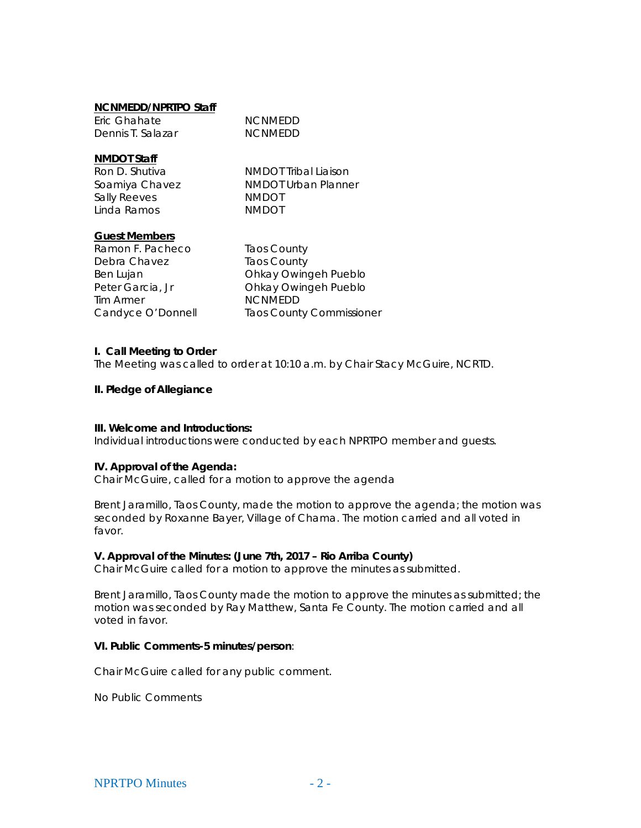#### **NCNMEDD/NPRTPO Staff**

| Eric Ghahate      | <b>NCNMEDD</b> |
|-------------------|----------------|
| Dennis T. Salazar | <b>NCNMEDD</b> |

#### **NMDOT Staff**

Sally Reeves NMDOT Linda Ramos NMDOT

Ron D. Shutiva NMDOT Tribal Liaison Soamiya Chavez **NMDOT** Urban Planner

## **Guest Members**

Ramon F. Pacheco Taos County Debra Chavez Taos County

Ben Lujan **Ohkay Owingeh Pueblo** Peter Garcia, Jr Chkay Owingeh Pueblo<br>
Tim Armer Christ NCNMEDD NCNMEDD Candyce O'Donnell Taos County Commissioner

### **I. Call Meeting to Order**

The Meeting was called to order at 10:10 a.m. by Chair Stacy McGuire, NCRTD.

### **II. Pledge of Allegiance**

### **III. Welcome and Introductions:**

Individual introductions were conducted by each NPRTPO member and guests.

### **IV. Approval of the Agenda:**

Chair McGuire, called for a motion to approve the agenda

Brent Jaramillo, Taos County, made the motion to approve the agenda; the motion was seconded by Roxanne Bayer, Village of Chama. The motion carried and all voted in favor.

### **V. Approval of the Minutes: (June 7th, 2017 – Rio Arriba County)**

Chair McGuire called for a motion to approve the minutes as submitted.

Brent Jaramillo, Taos County made the motion to approve the minutes as submitted; the motion was seconded by Ray Matthew, Santa Fe County. The motion carried and all voted in favor.

# **VI. Public Comments-5 minutes/person**:

Chair McGuire called for any public comment.

No Public Comments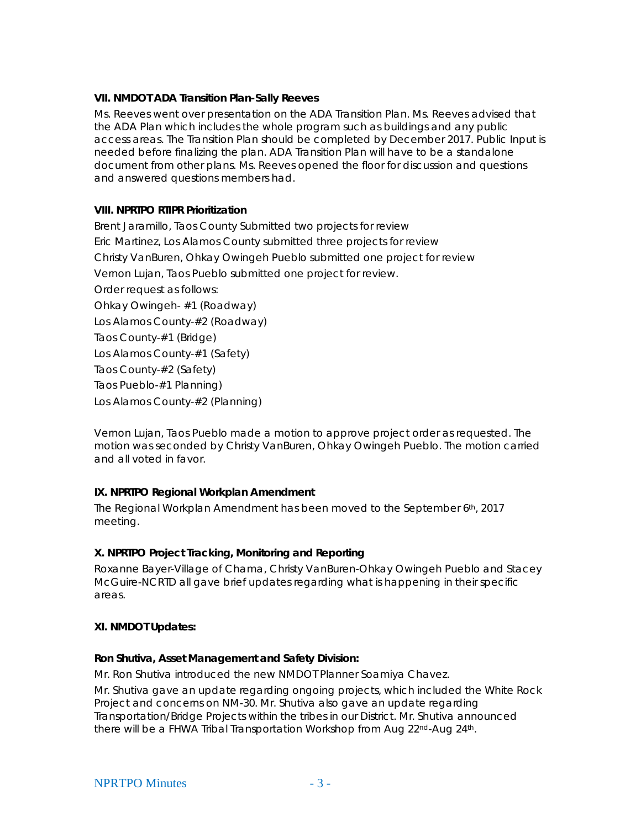# **VII. NMDOT ADA Transition Plan-Sally Reeves**

Ms. Reeves went over presentation on the ADA Transition Plan. Ms. Reeves advised that the ADA Plan which includes the whole program such as buildings and any public access areas. The Transition Plan should be completed by December 2017. Public Input is needed before finalizing the plan. ADA Transition Plan will have to be a standalone document from other plans. Ms. Reeves opened the floor for discussion and questions and answered questions members had.

## **VIII. NPRTPO RTIPR Prioritization**

Brent Jaramillo, Taos County Submitted two projects for review Eric Martinez, Los Alamos County submitted three projects for review Christy VanBuren, Ohkay Owingeh Pueblo submitted one project for review Vernon Lujan, Taos Pueblo submitted one project for review. Order request as follows: Ohkay Owingeh- #1 (Roadway) Los Alamos County-#2 (Roadway) Taos County-#1 (Bridge) Los Alamos County-#1 (Safety) Taos County-#2 (Safety) Taos Pueblo-#1 Planning) Los Alamos County-#2 (Planning)

Vernon Lujan, Taos Pueblo made a motion to approve project order as requested. The motion was seconded by Christy VanBuren, Ohkay Owingeh Pueblo. The motion carried and all voted in favor.

# **IX. NPRTPO Regional Workplan Amendment**

The Regional Workplan Amendment has been moved to the September  $6<sup>th</sup>$ , 2017 meeting.

### **X. NPRTPO Project Tracking, Monitoring and Reporting**

Roxanne Bayer-Village of Chama, Christy VanBuren-Ohkay Owingeh Pueblo and Stacey McGuire-NCRTD all gave brief updates regarding what is happening in their specific areas.

### **XI. NMDOT Updates:**

### **Ron Shutiva, Asset Management and Safety Division:**

Mr. Ron Shutiva introduced the new NMDOT Planner Soamiya Chavez.

Mr. Shutiva gave an update regarding ongoing projects, which included the White Rock Project and concerns on NM-30. Mr. Shutiva also gave an update regarding Transportation/Bridge Projects within the tribes in our District. Mr. Shutiva announced there will be a FHWA Tribal Transportation Workshop from Aug 22<sup>nd</sup>-Aug 24<sup>th</sup>.